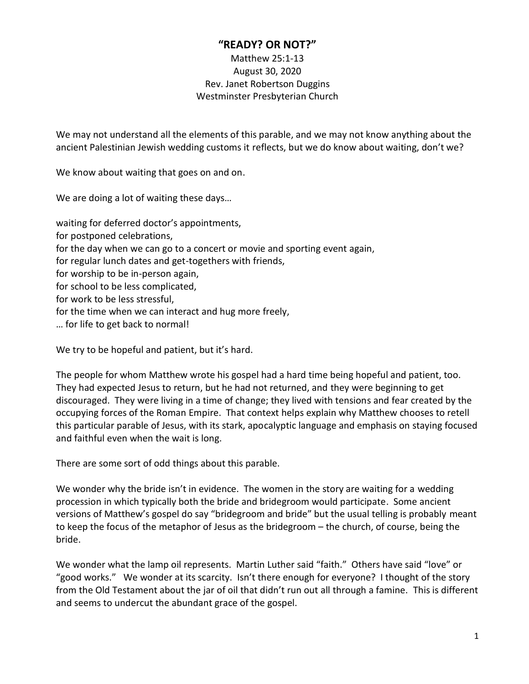## **"READY? OR NOT?"**

## Matthew 25:1-13 August 30, 2020 Rev. Janet Robertson Duggins Westminster Presbyterian Church

We may not understand all the elements of this parable, and we may not know anything about the ancient Palestinian Jewish wedding customs it reflects, but we do know about waiting, don't we?

We know about waiting that goes on and on.

We are doing a lot of waiting these days…

waiting for deferred doctor's appointments, for postponed celebrations, for the day when we can go to a concert or movie and sporting event again, for regular lunch dates and get-togethers with friends, for worship to be in-person again, for school to be less complicated, for work to be less stressful, for the time when we can interact and hug more freely, … for life to get back to normal!

We try to be hopeful and patient, but it's hard.

The people for whom Matthew wrote his gospel had a hard time being hopeful and patient, too. They had expected Jesus to return, but he had not returned, and they were beginning to get discouraged. They were living in a time of change; they lived with tensions and fear created by the occupying forces of the Roman Empire. That context helps explain why Matthew chooses to retell this particular parable of Jesus, with its stark, apocalyptic language and emphasis on staying focused and faithful even when the wait is long.

There are some sort of odd things about this parable.

We wonder why the bride isn't in evidence. The women in the story are waiting for a wedding procession in which typically both the bride and bridegroom would participate. Some ancient versions of Matthew's gospel do say "bridegroom and bride" but the usual telling is probably meant to keep the focus of the metaphor of Jesus as the bridegroom – the church, of course, being the bride.

We wonder what the lamp oil represents. Martin Luther said "faith." Others have said "love" or "good works." We wonder at its scarcity. Isn't there enough for everyone? I thought of the story from the Old Testament about the jar of oil that didn't run out all through a famine. This is different and seems to undercut the abundant grace of the gospel.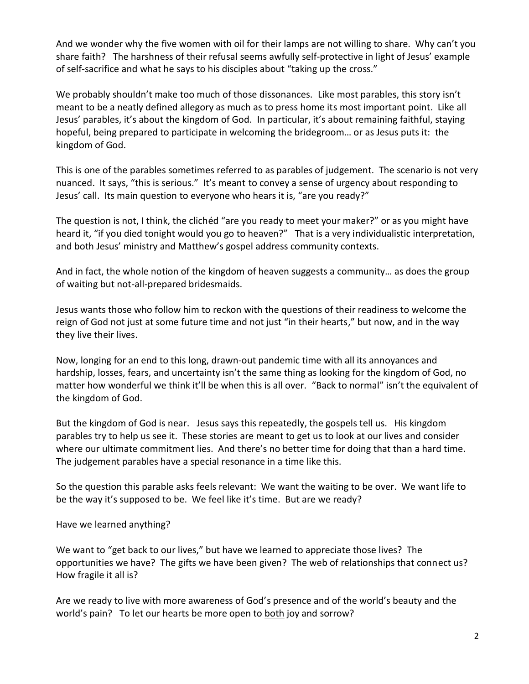And we wonder why the five women with oil for their lamps are not willing to share. Why can't you share faith? The harshness of their refusal seems awfully self-protective in light of Jesus' example of self-sacrifice and what he says to his disciples about "taking up the cross."

We probably shouldn't make too much of those dissonances. Like most parables, this story isn't meant to be a neatly defined allegory as much as to press home its most important point. Like all Jesus' parables, it's about the kingdom of God. In particular, it's about remaining faithful, staying hopeful, being prepared to participate in welcoming the bridegroom… or as Jesus puts it: the kingdom of God.

This is one of the parables sometimes referred to as parables of judgement. The scenario is not very nuanced. It says, "this is serious." It's meant to convey a sense of urgency about responding to Jesus' call. Its main question to everyone who hears it is, "are you ready?"

The question is not, I think, the clichéd "are you ready to meet your maker?" or as you might have heard it, "if you died tonight would you go to heaven?" That is a very individualistic interpretation, and both Jesus' ministry and Matthew's gospel address community contexts.

And in fact, the whole notion of the kingdom of heaven suggests a community… as does the group of waiting but not-all-prepared bridesmaids.

Jesus wants those who follow him to reckon with the questions of their readiness to welcome the reign of God not just at some future time and not just "in their hearts," but now, and in the way they live their lives.

Now, longing for an end to this long, drawn-out pandemic time with all its annoyances and hardship, losses, fears, and uncertainty isn't the same thing as looking for the kingdom of God, no matter how wonderful we think it'll be when this is all over. "Back to normal" isn't the equivalent of the kingdom of God.

But the kingdom of God is near. Jesus says this repeatedly, the gospels tell us. His kingdom parables try to help us see it. These stories are meant to get us to look at our lives and consider where our ultimate commitment lies. And there's no better time for doing that than a hard time. The judgement parables have a special resonance in a time like this.

So the question this parable asks feels relevant: We want the waiting to be over. We want life to be the way it's supposed to be. We feel like it's time. But are we ready?

Have we learned anything?

We want to "get back to our lives," but have we learned to appreciate those lives? The opportunities we have? The gifts we have been given? The web of relationships that connect us? How fragile it all is?

Are we ready to live with more awareness of God's presence and of the world's beauty and the world's pain? To let our hearts be more open to both joy and sorrow?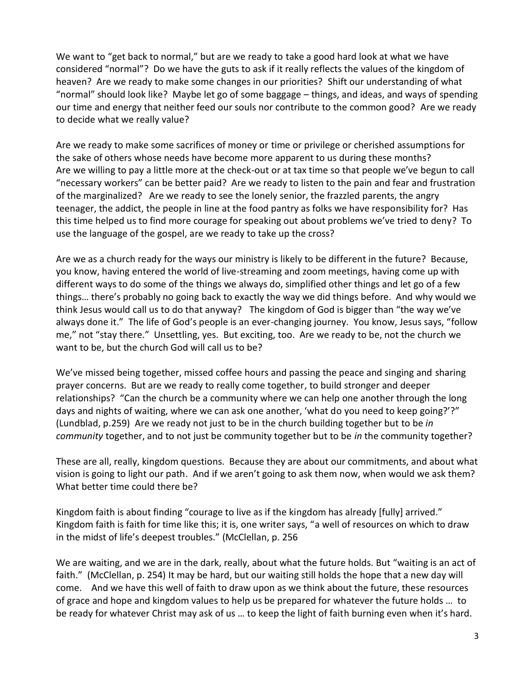We want to "get back to normal," but are we ready to take a good hard look at what we have considered "normal"? Do we have the guts to ask if it really reflects the values of the kingdom of heaven? Are we ready to make some changes in our priorities? Shift our understanding of what "normal" should look like? Maybe let go of some baggage – things, and ideas, and ways of spending our time and energy that neither feed our souls nor contribute to the common good? Are we ready to decide what we really value?

Are we ready to make some sacrifices of money or time or privilege or cherished assumptions for the sake of others whose needs have become more apparent to us during these months? Are we willing to pay a little more at the check-out or at tax time so that people we've begun to call "necessary workers" can be better paid? Are we ready to listen to the pain and fear and frustration of the marginalized? Are we ready to see the lonely senior, the frazzled parents, the angry teenager, the addict, the people in line at the food pantry as folks we have responsibility for? Has this time helped us to find more courage for speaking out about problems we've tried to deny? To use the language of the gospel, are we ready to take up the cross?

Are we as a church ready for the ways our ministry is likely to be different in the future? Because, you know, having entered the world of live-streaming and zoom meetings, having come up with different ways to do some of the things we always do, simplified other things and let go of a few things… there's probably no going back to exactly the way we did things before. And why would we think Jesus would call us to do that anyway? The kingdom of God is bigger than "the way we've always done it." The life of God's people is an ever-changing journey. You know, Jesus says, "follow me," not "stay there." Unsettling, yes. But exciting, too. Are we ready to be, not the church we want to be, but the church God will call us to be?

We've missed being together, missed coffee hours and passing the peace and singing and sharing prayer concerns. But are we ready to really come together, to build stronger and deeper relationships? "Can the church be a community where we can help one another through the long days and nights of waiting, where we can ask one another, 'what do you need to keep going?'?" (Lundblad, p.259) Are we ready not just to be in the church building together but to be *in community* together, and to not just be community together but to be *in* the community together?

These are all, really, kingdom questions. Because they are about our commitments, and about what vision is going to light our path. And if we aren't going to ask them now, when would we ask them? What better time could there be?

Kingdom faith is about finding "courage to live as if the kingdom has already [fully] arrived." Kingdom faith is faith for time like this; it is, one writer says, "a well of resources on which to draw in the midst of life's deepest troubles." (McClellan, p. 256

We are waiting, and we are in the dark, really, about what the future holds. But "waiting is an act of faith." (McClellan, p. 254) It may be hard, but our waiting still holds the hope that a new day will come. And we have this well of faith to draw upon as we think about the future, these resources of grace and hope and kingdom values to help us be prepared for whatever the future holds … to be ready for whatever Christ may ask of us … to keep the light of faith burning even when it's hard.